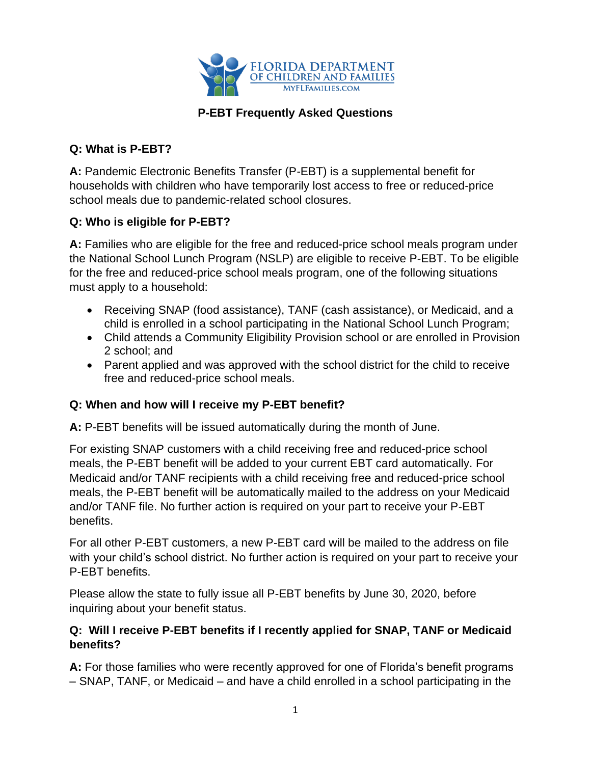

### **P-EBT Frequently Asked Questions**

#### **Q: What is P-EBT?**

**A:** Pandemic Electronic Benefits Transfer (P-EBT) is a supplemental benefit for households with children who have temporarily lost access to free or reduced-price school meals due to pandemic-related school closures.

### **Q: Who is eligible for P-EBT?**

**A:** Families who are eligible for the free and reduced-price school meals program under the National School Lunch Program (NSLP) are eligible to receive P-EBT. To be eligible for the free and reduced-price school meals program, one of the following situations must apply to a household:

- Receiving SNAP (food assistance), TANF (cash assistance), or Medicaid, and a child is enrolled in a school participating in the National School Lunch Program;
- Child attends a Community Eligibility Provision school or are enrolled in Provision 2 school; and
- Parent applied and was approved with the school district for the child to receive free and reduced-price school meals.

#### **Q: When and how will I receive my P-EBT benefit?**

**A:** P-EBT benefits will be issued automatically during the month of June.

For existing SNAP customers with a child receiving free and reduced-price school meals, the P-EBT benefit will be added to your current EBT card automatically. For Medicaid and/or TANF recipients with a child receiving free and reduced-price school meals, the P-EBT benefit will be automatically mailed to the address on your Medicaid and/or TANF file. No further action is required on your part to receive your P-EBT benefits.

For all other P-EBT customers, a new P-EBT card will be mailed to the address on file with your child's school district. No further action is required on your part to receive your P-EBT benefits.

Please allow the state to fully issue all P-EBT benefits by June 30, 2020, before inquiring about your benefit status.

#### **Q: Will I receive P-EBT benefits if I recently applied for SNAP, TANF or Medicaid benefits?**

**A:** For those families who were recently approved for one of Florida's benefit programs – SNAP, TANF, or Medicaid – and have a child enrolled in a school participating in the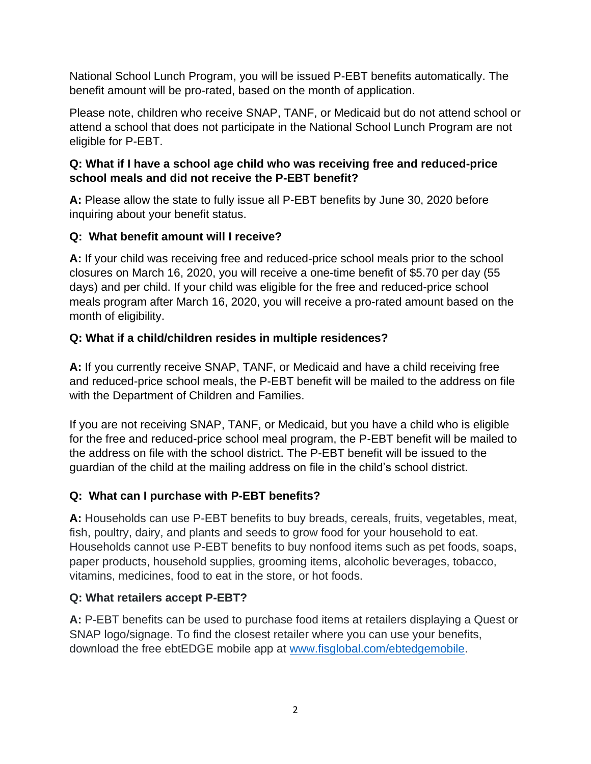National School Lunch Program, you will be issued P-EBT benefits automatically. The benefit amount will be pro-rated, based on the month of application.

Please note, children who receive SNAP, TANF, or Medicaid but do not attend school or attend a school that does not participate in the National School Lunch Program are not eligible for P-EBT.

### **Q: What if I have a school age child who was receiving free and reduced-price school meals and did not receive the P-EBT benefit?**

**A:** Please allow the state to fully issue all P-EBT benefits by June 30, 2020 before inquiring about your benefit status.

## **Q: What benefit amount will I receive?**

**A:** If your child was receiving free and reduced-price school meals prior to the school closures on March 16, 2020, you will receive a one-time benefit of \$5.70 per day (55 days) and per child. If your child was eligible for the free and reduced-price school meals program after March 16, 2020, you will receive a pro-rated amount based on the month of eligibility.

# **Q: What if a child/children resides in multiple residences?**

**A:** If you currently receive SNAP, TANF, or Medicaid and have a child receiving free and reduced-price school meals, the P-EBT benefit will be mailed to the address on file with the Department of Children and Families.

If you are not receiving SNAP, TANF, or Medicaid, but you have a child who is eligible for the free and reduced-price school meal program, the P-EBT benefit will be mailed to the address on file with the school district. The P-EBT benefit will be issued to the guardian of the child at the mailing address on file in the child's school district.

## **Q: What can I purchase with P-EBT benefits?**

**A:** Households can use P-EBT benefits to buy breads, cereals, fruits, vegetables, meat, fish, poultry, dairy, and plants and seeds to grow food for your household to eat. Households cannot use P-EBT benefits to buy nonfood items such as pet foods, soaps, paper products, household supplies, grooming items, alcoholic beverages, tobacco, vitamins, medicines, food to eat in the store, or hot foods.

## **Q: What retailers accept P-EBT?**

**A:** P-EBT benefits can be used to purchase food items at retailers displaying a Quest or SNAP logo/signage. To find the closest retailer where you can use your benefits, download the free ebtEDGE mobile app at [www.fisglobal.com/ebtedgemobile.](http://www.fisglobal.com/ebtedgemobile)